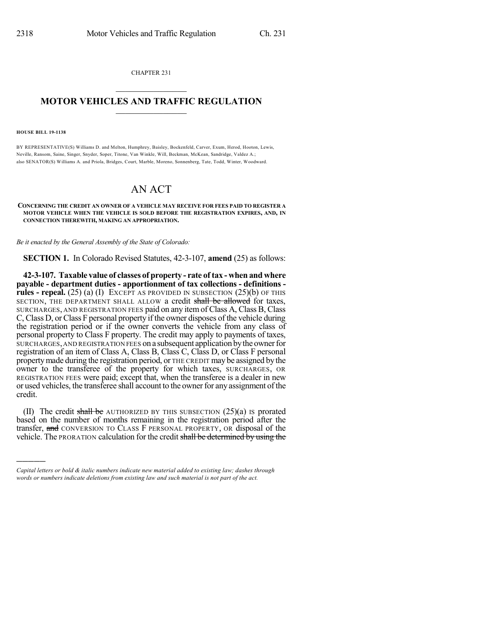CHAPTER 231

## $\mathcal{L}_\text{max}$  . The set of the set of the set of the set of the set of the set of the set of the set of the set of the set of the set of the set of the set of the set of the set of the set of the set of the set of the set **MOTOR VEHICLES AND TRAFFIC REGULATION**  $\frac{1}{2}$  ,  $\frac{1}{2}$  ,  $\frac{1}{2}$  ,  $\frac{1}{2}$  ,  $\frac{1}{2}$  ,  $\frac{1}{2}$  ,  $\frac{1}{2}$

## **HOUSE BILL 19-1138**

)))))

BY REPRESENTATIVE(S) Williams D. and Melton, Humphrey, Baisley, Bockenfeld, Carver, Exum, Herod, Hooton, Lewis, Neville, Ransom, Saine, Singer, Snyder, Soper, Titone, Van Winkle, Will, Beckman, McKean, Sandridge, Valdez A.; also SENATOR(S) Williams A. and Priola, Bridges, Court, Marble, Moreno, Sonnenberg, Tate, Todd, Winter, Woodward.

## AN ACT

## **CONCERNING THE CREDIT AN OWNER OF A VEHICLE MAY RECEIVE FOR FEES PAID TO REGISTER A MOTOR VEHICLE WHEN THE VEHICLE IS SOLD BEFORE THE REGISTRATION EXPIRES, AND, IN CONNECTION THEREWITH, MAKING AN APPROPRIATION.**

*Be it enacted by the General Assembly of the State of Colorado:*

**SECTION 1.** In Colorado Revised Statutes, 42-3-107, **amend** (25) as follows:

**42-3-107. Taxable value of classes of property - rate of tax - when and where payable - department duties - apportionment of tax collections - definitions rules - repeal.** (25) (a) (I) EXCEPT AS PROVIDED IN SUBSECTION (25)(b) OF THIS SECTION, THE DEPARTMENT SHALL ALLOW a credit shall be allowed for taxes, SURCHARGES, AND REGISTRATION FEES paid on any itemof Class A, Class B, Class C, Class D, or Class F personal property if the owner disposes of the vehicle during the registration period or if the owner converts the vehicle from any class of personal property to Class F property. The credit may apply to payments of taxes, SURCHARGES, AND REGISTRATION FEES on a subsequent application by the owner for registration of an item of Class A, Class B, Class C, Class D, or Class F personal propertymade during the registration period, or THE CREDIT may be assigned by the owner to the transferee of the property for which taxes, SURCHARGES, OR REGISTRATION FEES were paid; except that, when the transferee is a dealer in new or used vehicles, the transferee shall account to the ownerfor any assignment ofthe credit.

(II) The credit shall be AUTHORIZED BY THIS SUBSECTION  $(25)(a)$  is prorated based on the number of months remaining in the registration period after the transfer, and CONVERSION TO CLASS F PERSONAL PROPERTY, OR disposal of the vehicle. The PRORATION calculation for the credit shall be determined by using the

*Capital letters or bold & italic numbers indicate new material added to existing law; dashes through words or numbers indicate deletions from existing law and such material is not part of the act.*